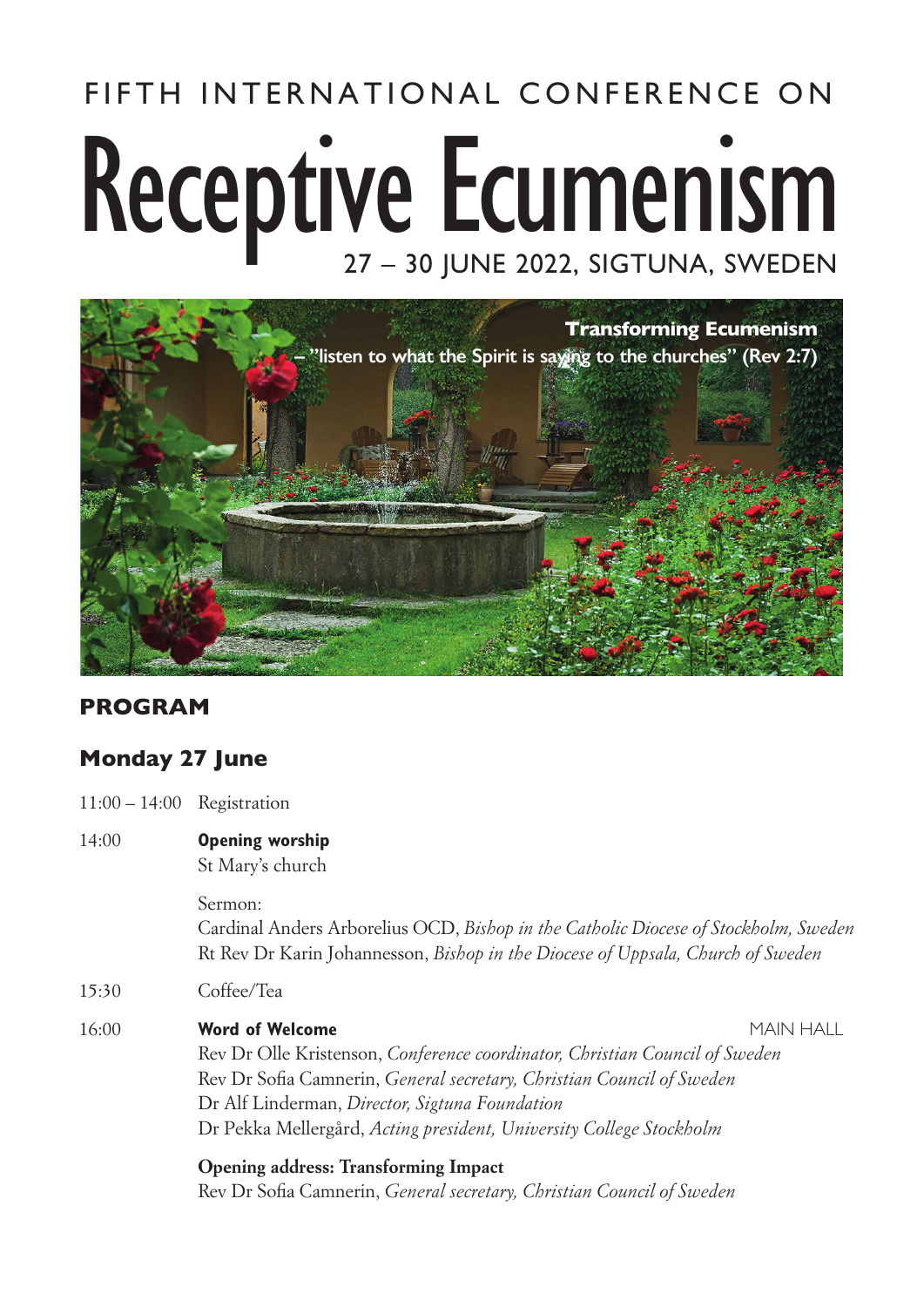# FIFTH INTERNATIONAL CONFERENCE ON Receptive Ecumenism 27 – 30 JUNE 2022, SIGTUNA, SWEDEN



#### **PROGRAM**

#### **Monday 27 June**

- 11:00 14:00 Registration
- 14:00 **Opening worship**  St Mary's church

Sermon: Cardinal Anders Arborelius OCD, *Bishop in the Catholic Diocese of Stockholm, Sweden* Rt Rev Dr Karin Johannesson, *Bishop in the Diocese of Uppsala, Church of Sweden*

- 15:30 Coffee/Tea
- 16:00 **Word of Welcome** MAIN HALL

Rev Dr Olle Kristenson, *Conference coordinator, Christian Council of Sweden*  Rev Dr Sofia Camnerin, *General secretary, Christian Council of Sweden* Dr Alf Linderman, *Director, Sigtuna Foundation* Dr Pekka Mellergård, *Acting president, University College Stockholm*

**Opening address: Transforming Impact** Rev Dr Sofia Camnerin, *General secretary*, *Christian Council of Sweden*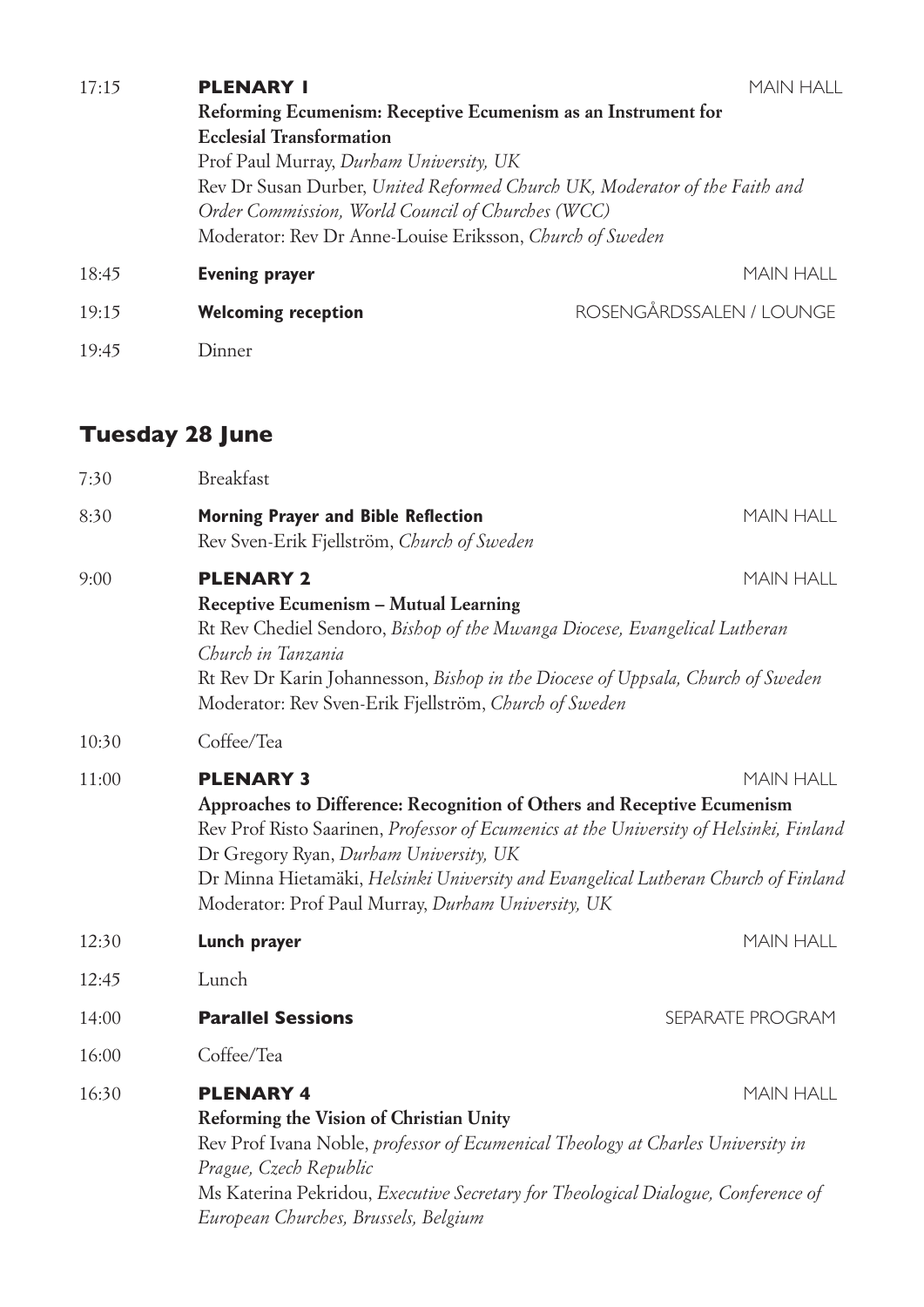| 17:15 | <b>PLENARY I</b>                                                                                                                | MAIN HALL                |                  |                                                          |
|-------|---------------------------------------------------------------------------------------------------------------------------------|--------------------------|------------------|----------------------------------------------------------|
|       | Reforming Ecumenism: Receptive Ecumenism as an Instrument for                                                                   |                          |                  |                                                          |
|       | <b>Ecclesial Transformation</b>                                                                                                 |                          |                  |                                                          |
|       | Prof Paul Murray, Durham University, UK                                                                                         |                          |                  |                                                          |
|       | Rev Dr Susan Durber, United Reformed Church UK, Moderator of the Faith and<br>Order Commission, World Council of Churches (WCC) |                          |                  |                                                          |
|       |                                                                                                                                 |                          |                  | Moderator: Rev Dr Anne-Louise Eriksson, Church of Sweden |
|       | 18:45                                                                                                                           | <b>Evening prayer</b>    | <b>MAIN HALL</b> |                                                          |
| 19:15 | <b>Welcoming reception</b>                                                                                                      | ROSENGÅRDSSALEN / LOUNGE |                  |                                                          |
| 19:45 | Dinner                                                                                                                          |                          |                  |                                                          |

### **Tuesday 28 June**

| 7:30  | <b>Breakfast</b>                                                                                                                                                                                                                                                                                                                                                            |                  |
|-------|-----------------------------------------------------------------------------------------------------------------------------------------------------------------------------------------------------------------------------------------------------------------------------------------------------------------------------------------------------------------------------|------------------|
| 8:30  | <b>Morning Prayer and Bible Reflection</b><br>Rev Sven-Erik Fjellström, Church of Sweden                                                                                                                                                                                                                                                                                    | <b>MAIN HALL</b> |
| 9:00  | <b>PLENARY 2</b><br>Receptive Ecumenism - Mutual Learning<br>Rt Rev Chediel Sendoro, Bishop of the Mwanga Diocese, Evangelical Lutheran<br>Church in Tanzania                                                                                                                                                                                                               | <b>MAIN HALL</b> |
|       | Rt Rev Dr Karin Johannesson, Bishop in the Diocese of Uppsala, Church of Sweden<br>Moderator: Rev Sven-Erik Fjellström, Church of Sweden                                                                                                                                                                                                                                    |                  |
| 10:30 | Coffee/Tea                                                                                                                                                                                                                                                                                                                                                                  |                  |
| 11:00 | <b>PLENARY 3</b><br>Approaches to Difference: Recognition of Others and Receptive Ecumenism<br>Rev Prof Risto Saarinen, Professor of Ecumenics at the University of Helsinki, Finland<br>Dr Gregory Ryan, Durham University, UK<br>Dr Minna Hietamäki, Helsinki University and Evangelical Lutheran Church of Finland<br>Moderator: Prof Paul Murray, Durham University, UK | <b>MAIN HALL</b> |
| 12:30 | Lunch prayer                                                                                                                                                                                                                                                                                                                                                                | <b>MAIN HALL</b> |
| 12:45 | Lunch                                                                                                                                                                                                                                                                                                                                                                       |                  |
| 14:00 | <b>Parallel Sessions</b>                                                                                                                                                                                                                                                                                                                                                    | SEPARATE PROGRAM |
| 16:00 | Coffee/Tea                                                                                                                                                                                                                                                                                                                                                                  |                  |
| 16:30 | <b>PLENARY 4</b><br>Reforming the Vision of Christian Unity<br>Rev Prof Ivana Noble, professor of Ecumenical Theology at Charles University in<br>Prague, Czech Republic<br>Ms Katerina Pekridou, Executive Secretary for Theological Dialogue, Conference of<br>European Churches, Brussels, Belgium                                                                       | <b>MAIN HALL</b> |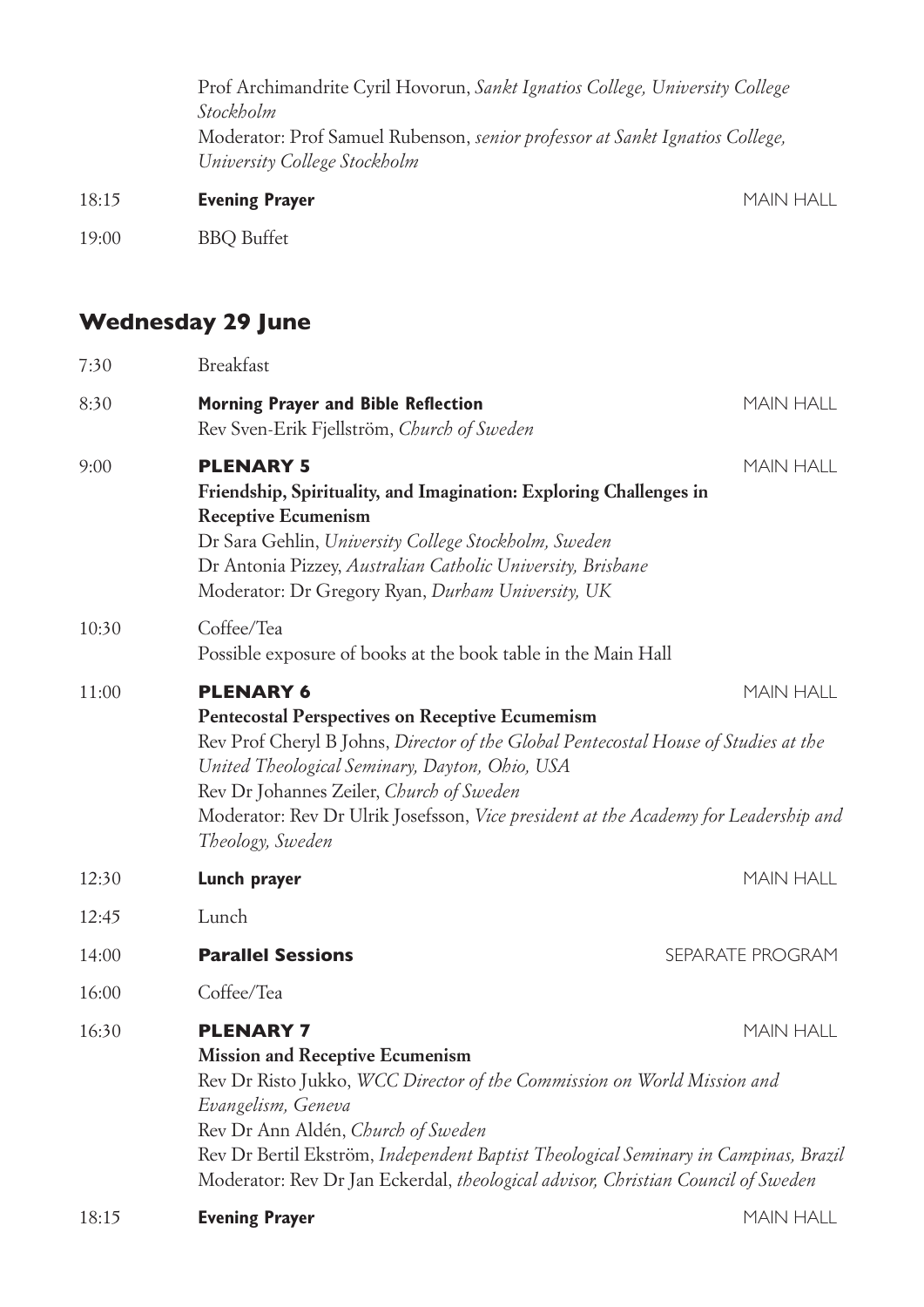|       | Prof Archimandrite Cyril Hovorun, Sankt Ignatios College, University College<br>Stockholm<br>Moderator: Prof Samuel Rubenson, <i>senior professor at Sankt Ignatios College</i> ,<br>University College Stockholm |                  |  |
|-------|-------------------------------------------------------------------------------------------------------------------------------------------------------------------------------------------------------------------|------------------|--|
|       |                                                                                                                                                                                                                   |                  |  |
| 18:15 | <b>Evening Prayer</b>                                                                                                                                                                                             | <b>MAIN HALL</b> |  |
| 19:00 | <b>BBQ</b> Buffet                                                                                                                                                                                                 |                  |  |

## **Wednesday 29 June**

| 7:30  | <b>Breakfast</b>                                                                                                                                                                                                                                                                                                                                                                               |                  |
|-------|------------------------------------------------------------------------------------------------------------------------------------------------------------------------------------------------------------------------------------------------------------------------------------------------------------------------------------------------------------------------------------------------|------------------|
| 8:30  | <b>Morning Prayer and Bible Reflection</b><br>Rev Sven-Erik Fjellström, Church of Sweden                                                                                                                                                                                                                                                                                                       | <b>MAIN HALL</b> |
| 9:00  | <b>PLENARY 5</b><br>Friendship, Spirituality, and Imagination: Exploring Challenges in<br><b>Receptive Ecumenism</b><br>Dr Sara Gehlin, University College Stockholm, Sweden<br>Dr Antonia Pizzey, Australian Catholic University, Brisbane<br>Moderator: Dr Gregory Ryan, Durham University, UK                                                                                               | <b>MAIN HALL</b> |
| 10:30 | Coffee/Tea<br>Possible exposure of books at the book table in the Main Hall                                                                                                                                                                                                                                                                                                                    |                  |
| 11:00 | <b>PLENARY 6</b><br><b>MAIN HALL</b><br><b>Pentecostal Perspectives on Receptive Ecumemism</b><br>Rev Prof Cheryl B Johns, Director of the Global Pentecostal House of Studies at the<br>United Theological Seminary, Dayton, Ohio, USA<br>Rev Dr Johannes Zeiler, Church of Sweden<br>Moderator: Rev Dr Ulrik Josefsson, Vice president at the Academy for Leadership and<br>Theology, Sweden |                  |
| 12:30 | Lunch prayer                                                                                                                                                                                                                                                                                                                                                                                   | <b>MAIN HALL</b> |
| 12:45 | Lunch                                                                                                                                                                                                                                                                                                                                                                                          |                  |
| 14:00 | <b>Parallel Sessions</b>                                                                                                                                                                                                                                                                                                                                                                       | SEPARATE PROGRAM |
| 16:00 | Coffee/Tea                                                                                                                                                                                                                                                                                                                                                                                     |                  |
| 16:30 | <b>PLENARY 7</b><br><b>Mission and Receptive Ecumenism</b><br>Rev Dr Risto Jukko, WCC Director of the Commission on World Mission and<br>Evangelism, Geneva<br>Rev Dr Ann Aldén, Church of Sweden<br>Rev Dr Bertil Ekström, Independent Baptist Theological Seminary in Campinas, Brazil<br>Moderator: Rev Dr Jan Eckerdal, theological advisor, Christian Council of Sweden                   | <b>MAIN HALL</b> |
| 18:15 | <b>Evening Prayer</b>                                                                                                                                                                                                                                                                                                                                                                          | <b>MAIN HALL</b> |